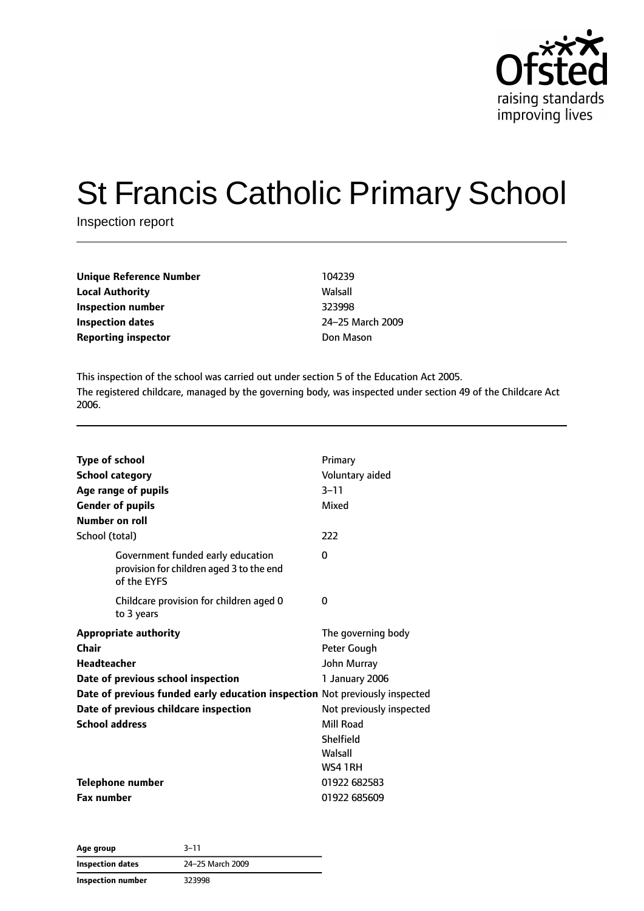

# St Francis Catholic Primary School

Inspection report

| Unique Reference Number<br><b>Local Authority</b> | 104239     |
|---------------------------------------------------|------------|
|                                                   | Walsall    |
| Inspection number                                 | 323998     |
| Inspection dates                                  | $24 - 251$ |
| <b>Reporting inspector</b>                        | Don Ma     |

This inspection of the school was carried out under section 5 of the Education Act 2005. The registered childcare, managed by the governing body, was inspected under section 49 of the Childcare Act 2006.

**Inspection dates** 24–25 March 2009 **Don Mason** 

| <b>Type of school</b><br><b>School category</b><br>Age range of pupils<br><b>Gender of pupils</b><br>Number on roll | Primary<br>Voluntary aided<br>$3 - 11$<br>Mixed                         |
|---------------------------------------------------------------------------------------------------------------------|-------------------------------------------------------------------------|
| School (total)                                                                                                      | 222                                                                     |
| Government funded early education<br>provision for children aged 3 to the end<br>of the EYFS                        | $\Omega$                                                                |
| Childcare provision for children aged 0<br>to 3 years                                                               | $\Omega$                                                                |
| <b>Appropriate authority</b><br>Chair<br>Headteacher<br>Date of previous school inspection                          | The governing body<br>Peter Gough<br>John Murray<br>1 January 2006      |
| Date of previous funded early education inspection Not previously inspected                                         |                                                                         |
| Date of previous childcare inspection<br><b>School address</b>                                                      | Not previously inspected<br>Mill Road<br>Shelfield<br>Walsall<br>WS41RH |
| <b>Telephone number</b>                                                                                             | 01922 682583                                                            |
| <b>Fax number</b>                                                                                                   | 01922 685609                                                            |

**Age group** 3–11 **Inspection dates** 24–25 March 2009 **Inspection number** 323998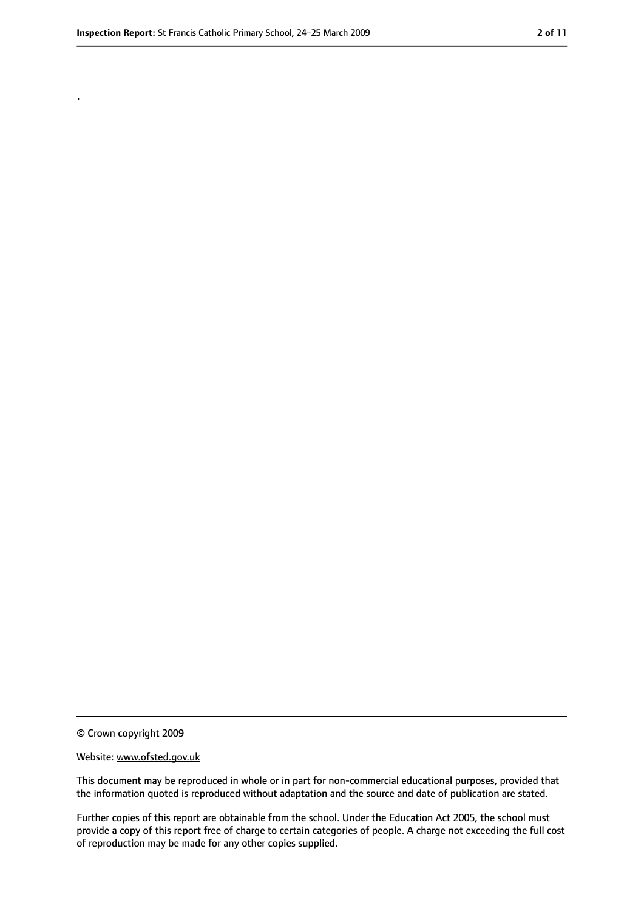.

<sup>©</sup> Crown copyright 2009

Website: www.ofsted.gov.uk

This document may be reproduced in whole or in part for non-commercial educational purposes, provided that the information quoted is reproduced without adaptation and the source and date of publication are stated.

Further copies of this report are obtainable from the school. Under the Education Act 2005, the school must provide a copy of this report free of charge to certain categories of people. A charge not exceeding the full cost of reproduction may be made for any other copies supplied.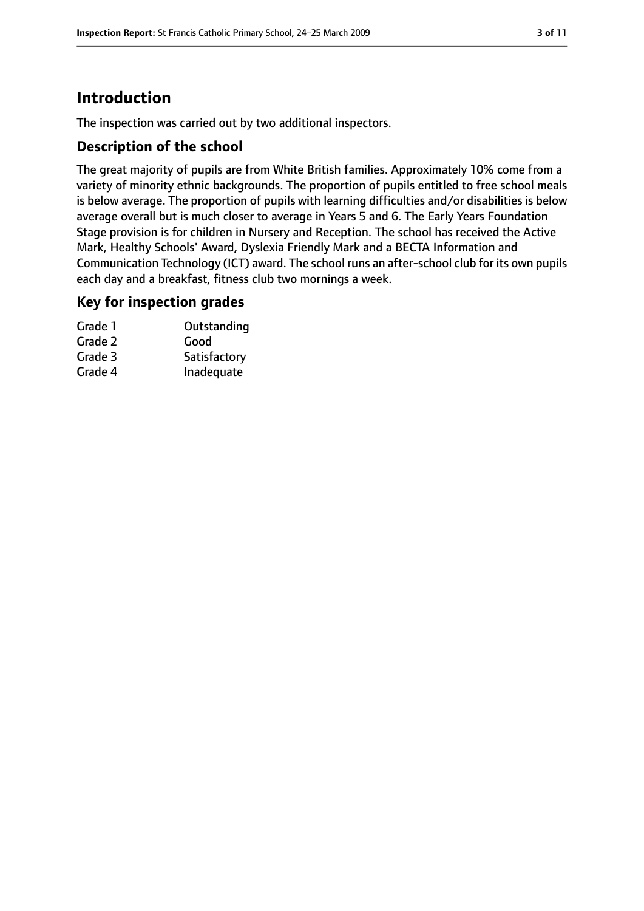# **Introduction**

The inspection was carried out by two additional inspectors.

## **Description of the school**

The great majority of pupils are from White British families. Approximately 10% come from a variety of minority ethnic backgrounds. The proportion of pupils entitled to free school meals is below average. The proportion of pupils with learning difficulties and/or disabilities is below average overall but is much closer to average in Years 5 and 6. The Early Years Foundation Stage provision is for children in Nursery and Reception. The school has received the Active Mark, Healthy Schools' Award, Dyslexia Friendly Mark and a BECTA Information and Communication Technology (ICT) award. The school runs an after-school club for its own pupils each day and a breakfast, fitness club two mornings a week.

#### **Key for inspection grades**

| Grade 1 | Outstanding  |
|---------|--------------|
| Grade 2 | Good         |
| Grade 3 | Satisfactory |
| Grade 4 | Inadequate   |
|         |              |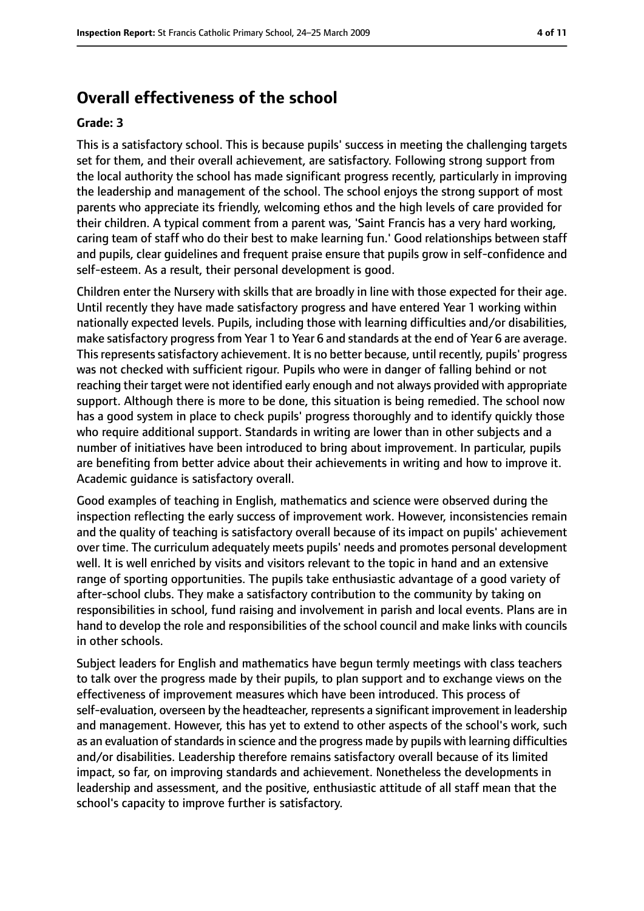# **Overall effectiveness of the school**

#### **Grade: 3**

This is a satisfactory school. This is because pupils' success in meeting the challenging targets set for them, and their overall achievement, are satisfactory. Following strong support from the local authority the school has made significant progress recently, particularly in improving the leadership and management of the school. The school enjoys the strong support of most parents who appreciate its friendly, welcoming ethos and the high levels of care provided for their children. A typical comment from a parent was, 'Saint Francis has a very hard working, caring team of staff who do their best to make learning fun.' Good relationships between staff and pupils, clear guidelines and frequent praise ensure that pupils grow in self-confidence and self-esteem. As a result, their personal development is good.

Children enter the Nursery with skills that are broadly in line with those expected for their age. Until recently they have made satisfactory progress and have entered Year 1 working within nationally expected levels. Pupils, including those with learning difficulties and/or disabilities, make satisfactory progress from Year 1 to Year 6 and standards at the end of Year 6 are average. This represents satisfactory achievement. It is no better because, until recently, pupils' progress was not checked with sufficient rigour. Pupils who were in danger of falling behind or not reaching their target were not identified early enough and not always provided with appropriate support. Although there is more to be done, this situation is being remedied. The school now has a good system in place to check pupils' progress thoroughly and to identify quickly those who require additional support. Standards in writing are lower than in other subjects and a number of initiatives have been introduced to bring about improvement. In particular, pupils are benefiting from better advice about their achievements in writing and how to improve it. Academic guidance is satisfactory overall.

Good examples of teaching in English, mathematics and science were observed during the inspection reflecting the early success of improvement work. However, inconsistencies remain and the quality of teaching is satisfactory overall because of its impact on pupils' achievement over time. The curriculum adequately meets pupils' needs and promotes personal development well. It is well enriched by visits and visitors relevant to the topic in hand and an extensive range of sporting opportunities. The pupils take enthusiastic advantage of a good variety of after-school clubs. They make a satisfactory contribution to the community by taking on responsibilities in school, fund raising and involvement in parish and local events. Plans are in hand to develop the role and responsibilities of the school council and make links with councils in other schools.

Subject leaders for English and mathematics have begun termly meetings with class teachers to talk over the progress made by their pupils, to plan support and to exchange views on the effectiveness of improvement measures which have been introduced. This process of self-evaluation, overseen by the headteacher, represents a significant improvement in leadership and management. However, this has yet to extend to other aspects of the school's work, such as an evaluation of standards in science and the progress made by pupils with learning difficulties and/or disabilities. Leadership therefore remains satisfactory overall because of its limited impact, so far, on improving standards and achievement. Nonetheless the developments in leadership and assessment, and the positive, enthusiastic attitude of all staff mean that the school's capacity to improve further is satisfactory.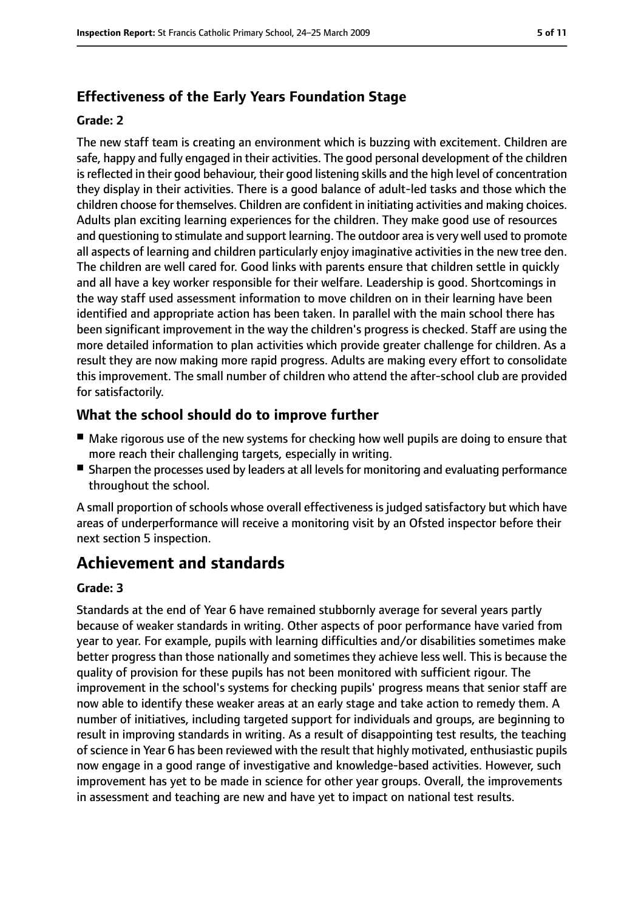# **Effectiveness of the Early Years Foundation Stage**

#### **Grade: 2**

The new staff team is creating an environment which is buzzing with excitement. Children are safe, happy and fully engaged in their activities. The good personal development of the children is reflected in their good behaviour, their good listening skills and the high level of concentration they display in their activities. There is a good balance of adult-led tasks and those which the children choose for themselves. Children are confident in initiating activities and making choices. Adults plan exciting learning experiences for the children. They make good use of resources and questioning to stimulate and support learning. The outdoor area is very well used to promote all aspects of learning and children particularly enjoy imaginative activities in the new tree den. The children are well cared for. Good links with parents ensure that children settle in quickly and all have a key worker responsible for their welfare. Leadership is good. Shortcomings in the way staff used assessment information to move children on in their learning have been identified and appropriate action has been taken. In parallel with the main school there has been significant improvement in the way the children's progress is checked. Staff are using the more detailed information to plan activities which provide greater challenge for children. As a result they are now making more rapid progress. Adults are making every effort to consolidate this improvement. The small number of children who attend the after-school club are provided for satisfactorily.

## **What the school should do to improve further**

- Make rigorous use of the new systems for checking how well pupils are doing to ensure that more reach their challenging targets, especially in writing.
- Sharpen the processes used by leaders at all levels for monitoring and evaluating performance throughout the school.

A small proportion of schools whose overall effectiveness is judged satisfactory but which have areas of underperformance will receive a monitoring visit by an Ofsted inspector before their next section 5 inspection.

# **Achievement and standards**

#### **Grade: 3**

Standards at the end of Year 6 have remained stubbornly average for several years partly because of weaker standards in writing. Other aspects of poor performance have varied from year to year. For example, pupils with learning difficulties and/or disabilities sometimes make better progress than those nationally and sometimes they achieve less well. This is because the quality of provision for these pupils has not been monitored with sufficient rigour. The improvement in the school's systems for checking pupils' progress means that senior staff are now able to identify these weaker areas at an early stage and take action to remedy them. A number of initiatives, including targeted support for individuals and groups, are beginning to result in improving standards in writing. As a result of disappointing test results, the teaching of science in Year 6 has been reviewed with the result that highly motivated, enthusiastic pupils now engage in a good range of investigative and knowledge-based activities. However, such improvement has yet to be made in science for other year groups. Overall, the improvements in assessment and teaching are new and have yet to impact on national test results.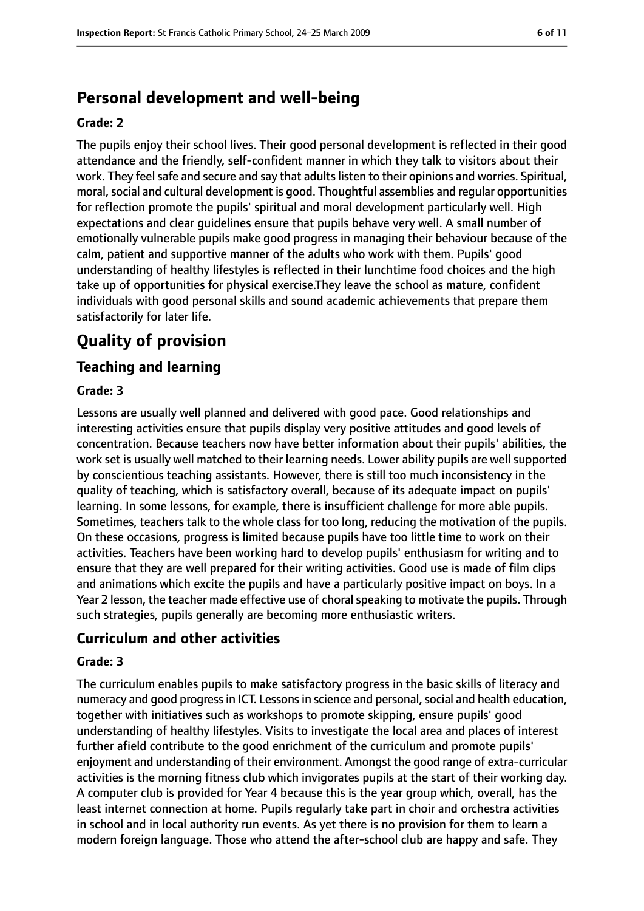# **Personal development and well-being**

#### **Grade: 2**

The pupils enjoy their school lives. Their good personal development is reflected in their good attendance and the friendly, self-confident manner in which they talk to visitors about their work. They feel safe and secure and say that adults listen to their opinions and worries. Spiritual, moral, social and cultural development is good. Thoughtful assemblies and regular opportunities for reflection promote the pupils' spiritual and moral development particularly well. High expectations and clear guidelines ensure that pupils behave very well. A small number of emotionally vulnerable pupils make good progress in managing their behaviour because of the calm, patient and supportive manner of the adults who work with them. Pupils' good understanding of healthy lifestyles is reflected in their lunchtime food choices and the high take up of opportunities for physical exercise.They leave the school as mature, confident individuals with good personal skills and sound academic achievements that prepare them satisfactorily for later life.

# **Quality of provision**

## **Teaching and learning**

#### **Grade: 3**

Lessons are usually well planned and delivered with good pace. Good relationships and interesting activities ensure that pupils display very positive attitudes and good levels of concentration. Because teachers now have better information about their pupils' abilities, the work set is usually well matched to their learning needs. Lower ability pupils are well supported by conscientious teaching assistants. However, there is still too much inconsistency in the quality of teaching, which is satisfactory overall, because of its adequate impact on pupils' learning. In some lessons, for example, there is insufficient challenge for more able pupils. Sometimes, teachers talk to the whole class for too long, reducing the motivation of the pupils. On these occasions, progress is limited because pupils have too little time to work on their activities. Teachers have been working hard to develop pupils' enthusiasm for writing and to ensure that they are well prepared for their writing activities. Good use is made of film clips and animations which excite the pupils and have a particularly positive impact on boys. In a Year 2 lesson, the teacher made effective use of choral speaking to motivate the pupils. Through such strategies, pupils generally are becoming more enthusiastic writers.

#### **Curriculum and other activities**

#### **Grade: 3**

The curriculum enables pupils to make satisfactory progress in the basic skills of literacy and numeracy and good progress in ICT. Lessons in science and personal, social and health education, together with initiatives such as workshops to promote skipping, ensure pupils' good understanding of healthy lifestyles. Visits to investigate the local area and places of interest further afield contribute to the good enrichment of the curriculum and promote pupils' enjoyment and understanding of their environment. Amongst the good range of extra-curricular activities is the morning fitness club which invigorates pupils at the start of their working day. A computer club is provided for Year 4 because this is the year group which, overall, has the least internet connection at home. Pupils regularly take part in choir and orchestra activities in school and in local authority run events. As yet there is no provision for them to learn a modern foreign language. Those who attend the after-school club are happy and safe. They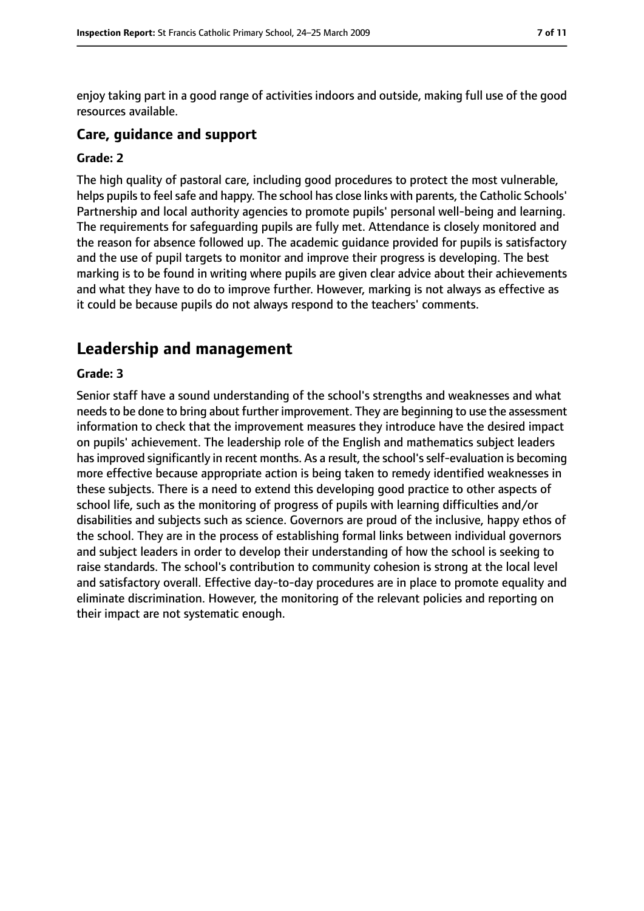enjoy taking part in a good range of activities indoors and outside, making full use of the good resources available.

#### **Care, guidance and support**

#### **Grade: 2**

The high quality of pastoral care, including good procedures to protect the most vulnerable, helps pupils to feel safe and happy. The school has close links with parents, the Catholic Schools' Partnership and local authority agencies to promote pupils' personal well-being and learning. The requirements for safeguarding pupils are fully met. Attendance is closely monitored and the reason for absence followed up. The academic guidance provided for pupils is satisfactory and the use of pupil targets to monitor and improve their progress is developing. The best marking is to be found in writing where pupils are given clear advice about their achievements and what they have to do to improve further. However, marking is not always as effective as it could be because pupils do not always respond to the teachers' comments.

# **Leadership and management**

#### **Grade: 3**

Senior staff have a sound understanding of the school's strengths and weaknesses and what needs to be done to bring about further improvement. They are beginning to use the assessment information to check that the improvement measures they introduce have the desired impact on pupils' achievement. The leadership role of the English and mathematics subject leaders has improved significantly in recent months. As a result, the school's self-evaluation is becoming more effective because appropriate action is being taken to remedy identified weaknesses in these subjects. There is a need to extend this developing good practice to other aspects of school life, such as the monitoring of progress of pupils with learning difficulties and/or disabilities and subjects such as science. Governors are proud of the inclusive, happy ethos of the school. They are in the process of establishing formal links between individual governors and subject leaders in order to develop their understanding of how the school is seeking to raise standards. The school's contribution to community cohesion is strong at the local level and satisfactory overall. Effective day-to-day procedures are in place to promote equality and eliminate discrimination. However, the monitoring of the relevant policies and reporting on their impact are not systematic enough.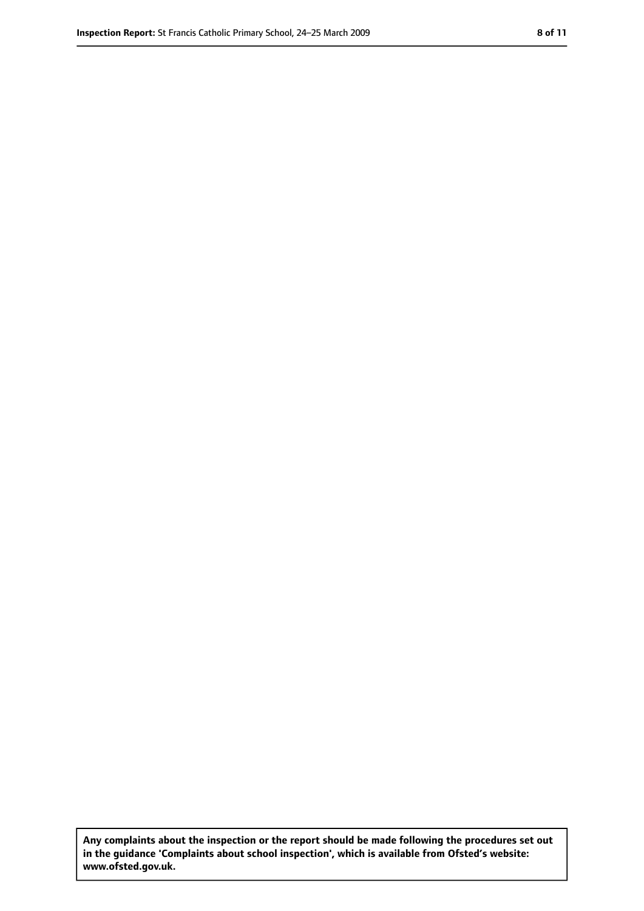**Any complaints about the inspection or the report should be made following the procedures set out in the guidance 'Complaints about school inspection', which is available from Ofsted's website: www.ofsted.gov.uk.**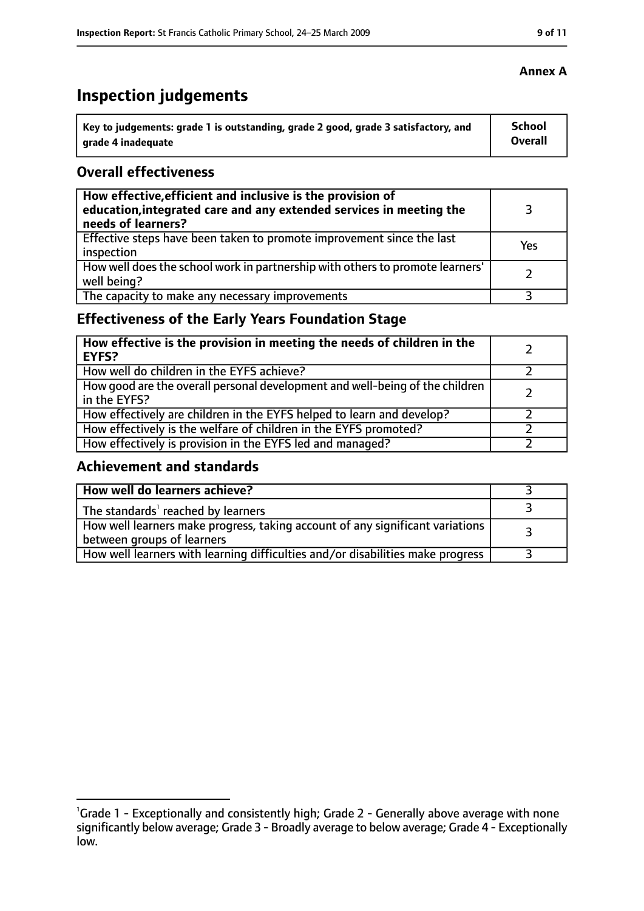# **Inspection judgements**

| Key to judgements: grade 1 is outstanding, grade 2 good, grade 3 satisfactory, and | School  |
|------------------------------------------------------------------------------------|---------|
| arade 4 inadequate                                                                 | Overall |

### **Overall effectiveness**

| How effective, efficient and inclusive is the provision of<br>education, integrated care and any extended services in meeting the<br>needs of learners? |     |
|---------------------------------------------------------------------------------------------------------------------------------------------------------|-----|
| Effective steps have been taken to promote improvement since the last<br>inspection                                                                     | Yes |
| How well does the school work in partnership with others to promote learners'<br>well being?                                                            |     |
| The capacity to make any necessary improvements                                                                                                         |     |

# **Effectiveness of the Early Years Foundation Stage**

| How effective is the provision in meeting the needs of children in the<br><b>EYFS?</b>       |  |
|----------------------------------------------------------------------------------------------|--|
| How well do children in the EYFS achieve?                                                    |  |
| How good are the overall personal development and well-being of the children<br>in the EYFS? |  |
| How effectively are children in the EYFS helped to learn and develop?                        |  |
| How effectively is the welfare of children in the EYFS promoted?                             |  |
| How effectively is provision in the EYFS led and managed?                                    |  |

## **Achievement and standards**

| How well do learners achieve?                                                                               |  |
|-------------------------------------------------------------------------------------------------------------|--|
| The standards <sup>1</sup> reached by learners                                                              |  |
| How well learners make progress, taking account of any significant variations<br>between groups of learners |  |
| How well learners with learning difficulties and/or disabilities make progress                              |  |

<sup>&</sup>lt;sup>1</sup>Grade 1 - Exceptionally and consistently high; Grade 2 - Generally above average with none significantly below average; Grade 3 - Broadly average to below average; Grade 4 - Exceptionally low.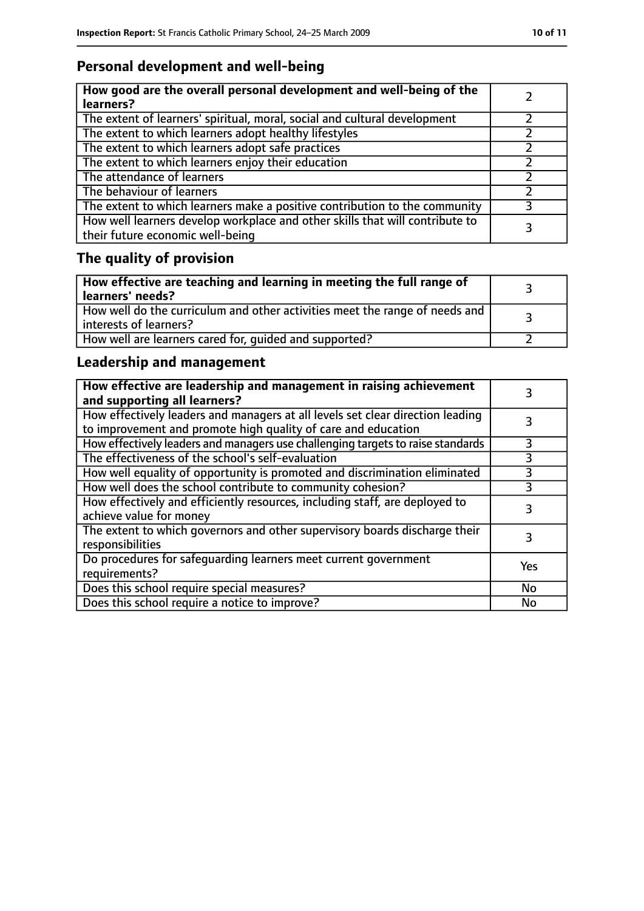# **Personal development and well-being**

| How good are the overall personal development and well-being of the<br>learners?                                 |  |
|------------------------------------------------------------------------------------------------------------------|--|
| The extent of learners' spiritual, moral, social and cultural development                                        |  |
| The extent to which learners adopt healthy lifestyles                                                            |  |
| The extent to which learners adopt safe practices                                                                |  |
| The extent to which learners enjoy their education                                                               |  |
| The attendance of learners                                                                                       |  |
| The behaviour of learners                                                                                        |  |
| The extent to which learners make a positive contribution to the community                                       |  |
| How well learners develop workplace and other skills that will contribute to<br>their future economic well-being |  |

# **The quality of provision**

| How effective are teaching and learning in meeting the full range of<br>learners' needs?              |  |
|-------------------------------------------------------------------------------------------------------|--|
| How well do the curriculum and other activities meet the range of needs and<br>interests of learners? |  |
| How well are learners cared for, quided and supported?                                                |  |

# **Leadership and management**

| How effective are leadership and management in raising achievement<br>and supporting all learners?                                              |     |
|-------------------------------------------------------------------------------------------------------------------------------------------------|-----|
| How effectively leaders and managers at all levels set clear direction leading<br>to improvement and promote high quality of care and education |     |
| How effectively leaders and managers use challenging targets to raise standards                                                                 | 3   |
| The effectiveness of the school's self-evaluation                                                                                               | 3   |
| How well equality of opportunity is promoted and discrimination eliminated                                                                      | 3   |
| How well does the school contribute to community cohesion?                                                                                      | 3   |
| How effectively and efficiently resources, including staff, are deployed to<br>achieve value for money                                          |     |
| The extent to which governors and other supervisory boards discharge their<br>responsibilities                                                  | 3   |
| Do procedures for safequarding learners meet current government<br>requirements?                                                                | Yes |
| Does this school require special measures?                                                                                                      | No  |
| Does this school require a notice to improve?                                                                                                   | No  |